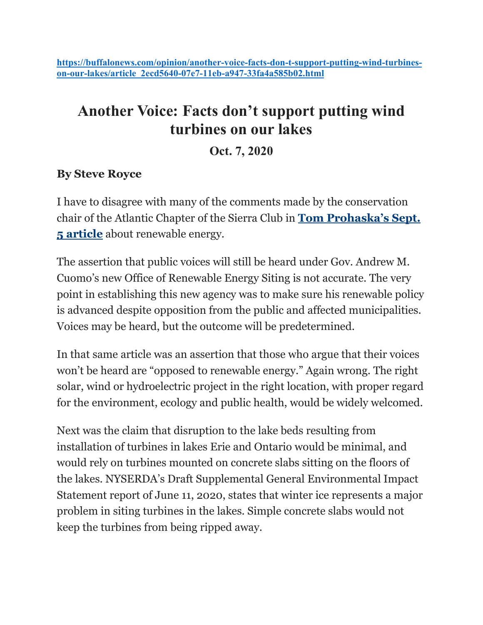## **Another Voice: Facts don't support putting wind turbines on our lakes**

**Oct. 7, 2020**

## **By Steve Royce**

I have to disagree with many of the comments made by the conservation chair of the Atlantic Chapter of the Sierra Club in **[Tom Prohaska's Sept.](https://buffalonews.com/news/local/as-new-york-pushes-green-energy-localities-bristle-at-loss-of-control/article_7d4d4130-ed35-11ea-80ee-1b6380889177.html)  [5 article](https://buffalonews.com/news/local/as-new-york-pushes-green-energy-localities-bristle-at-loss-of-control/article_7d4d4130-ed35-11ea-80ee-1b6380889177.html)** about renewable energy.

The assertion that public voices will still be heard under Gov. Andrew M. Cuomo's new Office of Renewable Energy Siting is not accurate. The very point in establishing this new agency was to make sure his renewable policy is advanced despite opposition from the public and affected municipalities. Voices may be heard, but the outcome will be predetermined.

In that same article was an assertion that those who argue that their voices won't be heard are "opposed to renewable energy." Again wrong. The right solar, wind or hydroelectric project in the right location, with proper regard for the environment, ecology and public health, would be widely welcomed.

Next was the claim that disruption to the lake beds resulting from installation of turbines in lakes Erie and Ontario would be minimal, and would rely on turbines mounted on concrete slabs sitting on the floors of the lakes. NYSERDA's Draft Supplemental General Environmental Impact Statement report of June 11, 2020, states that winter ice represents a major problem in siting turbines in the lakes. Simple concrete slabs would not keep the turbines from being ripped away.